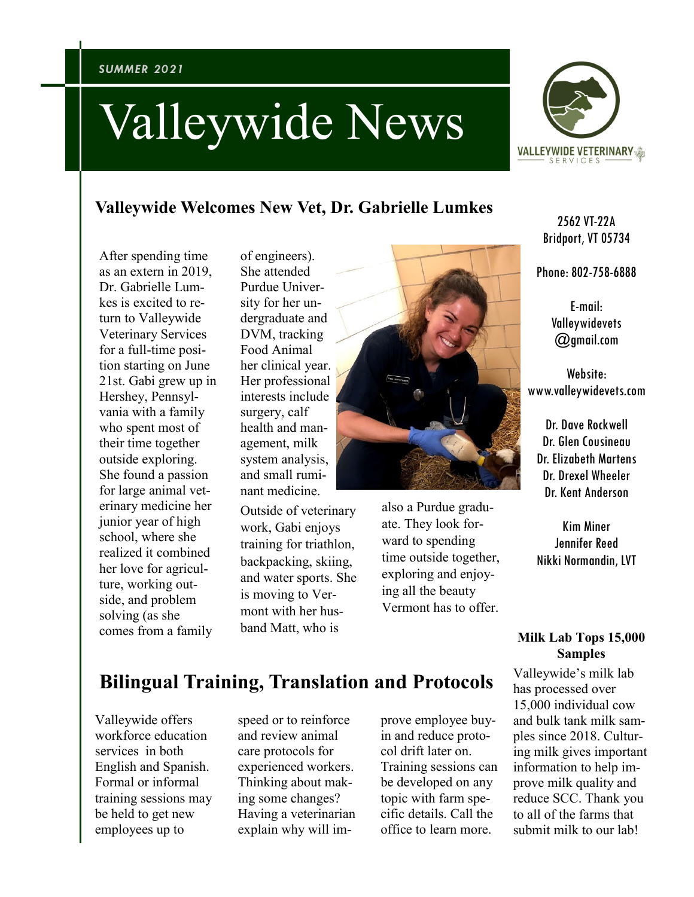# Valleywide News



## **Valleywide Welcomes New Vet, Dr. Gabrielle Lumkes**

After spending time as an extern in 2019, Dr. Gabrielle Lumkes is excited to return to Valleywide Veterinary Services for a full-time position starting on June 21st. Gabi grew up in Hershey, Pennsylvania with a family who spent most of their time together outside exploring. She found a passion for large animal veterinary medicine her junior year of high school, where she realized it combined her love for agriculture, working outside, and problem solving (as she comes from a family

of engineers). She attended Purdue University for her undergraduate and DVM, tracking Food Animal her clinical year. Her professional interests include surgery, calf health and management, milk system analysis, and small ruminant medicine.

Outside of veterinary work, Gabi enjoys training for triathlon, backpacking, skiing, and water sports. She is moving to Vermont with her husband Matt, who is



also a Purdue graduate. They look forward to spending time outside together, exploring and enjoying all the beauty Vermont has to offer.

2562 VT-22A Bridport, VT 05734

Phone: 802-758-6888

E-mail: Valleywidevets @gmail.com

Website: www.valleywidevets.com

Dr. Dave Rockwell Dr. Glen Cousineau Dr. Elizabeth Martens Dr. Drexel Wheeler Dr. Kent Anderson

Kim Miner Jennifer Reed Nikki Normandin, LVT

#### **Milk Lab Tops 15,000 Samples**

Valleywide's milk lab has processed over 15,000 individual cow and bulk tank milk samples since 2018. Culturing milk gives important information to help improve milk quality and reduce SCC. Thank you to all of the farms that submit milk to our lab!

# **Bilingual Training, Translation and Protocols**

Valleywide offers workforce education services in both English and Spanish. Formal or informal training sessions may be held to get new employees up to

speed or to reinforce and review animal care protocols for experienced workers. Thinking about making some changes? Having a veterinarian explain why will improve employee buyin and reduce protocol drift later on. Training sessions can be developed on any topic with farm specific details. Call the office to learn more.